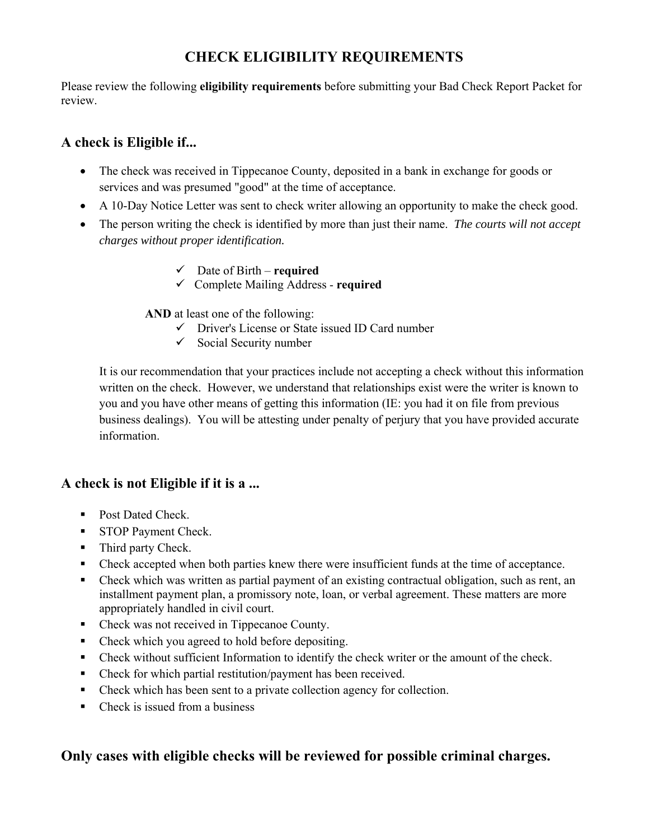## **CHECK ELIGIBILITY REQUIREMENTS**

Please review the following **eligibility requirements** before submitting your Bad Check Report Packet for review.

## **A check is Eligible if...**

- The check was received in Tippecanoe County, deposited in a bank in exchange for goods or services and was presumed "good" at the time of acceptance.
- A 10-Day Notice Letter was sent to check writer allowing an opportunity to make the check good.
- The person writing the check is identified by more than just their name. *The courts will not accept charges without proper identification.* 
	- Date of Birth **required**
	- Complete Mailing Address **required**

**AND** at least one of the following:

- $\checkmark$  Driver's License or State issued ID Card number
- $\checkmark$  Social Security number

It is our recommendation that your practices include not accepting a check without this information written on the check. However, we understand that relationships exist were the writer is known to you and you have other means of getting this information (IE: you had it on file from previous business dealings). You will be attesting under penalty of perjury that you have provided accurate information.

## **A check is not Eligible if it is a ...**

- Post Dated Check.
- STOP Payment Check.
- Third party Check.
- Check accepted when both parties knew there were insufficient funds at the time of acceptance.
- Check which was written as partial payment of an existing contractual obligation, such as rent, an installment payment plan, a promissory note, loan, or verbal agreement. These matters are more appropriately handled in civil court.
- Check was not received in Tippecanoe County.
- Check which you agreed to hold before depositing.
- Check without sufficient Information to identify the check writer or the amount of the check.
- Check for which partial restitution/payment has been received.
- Check which has been sent to a private collection agency for collection.
- $\blacksquare$  Check is issued from a business

## **Only cases with eligible checks will be reviewed for possible criminal charges.**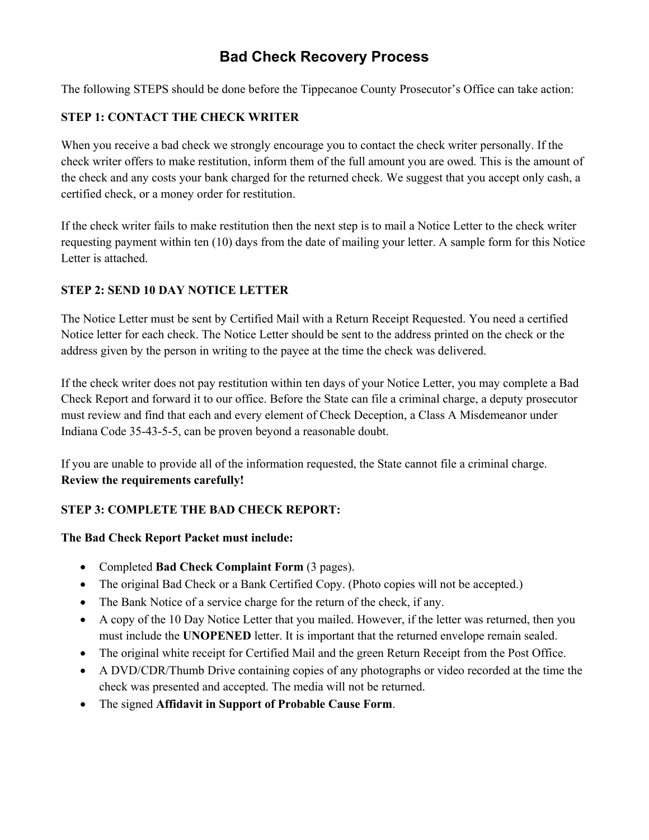# **Bad Check Recovery Process**

The following STEPS should be done before the Tippecanoe County Prosecutor's Office can take action:

### **STEP 1: CONTACT THE CHECK WRITER**

When you receive a bad check we strongly encourage you to contact the check writer personally. If the check writer offers to make restitution, inform them of the full amount you are owed. This is the amount of the check and any costs your bank charged for the returned check. We suggest that you accept only cash, a certified check, or a money order for restitution.

If the check writer fails to make restitution then the next step is to mail a Notice Letter to the check writer requesting payment within ten (10) days from the date of mailing your letter. A sample form for this Notice Letter is attached.

### **STEP 2: SEND 10 DAY NOTICE LETTER**

The Notice Letter must be sent by Certified Mail with a Return Receipt Requested. You need a certified Notice letter for each check. The Notice Letter should be sent to the address printed on the check or the address given by the person in writing to the payee at the time the check was delivered.

If the check writer does not pay restitution within ten days of your Notice Letter, you may complete a Bad Check Report and forward it to our office. Before the State can file a criminal charge, a deputy prosecutor must review and find that each and every element of Check Deception, a Class A Misdemeanor under Indiana Code 35-43-5-5, can be proven beyond a reasonable doubt.

If you are unable to provide all of the information requested, the State cannot file a criminal charge. **Review the requirements carefully!** 

### **STEP 3: COMPLETE THE BAD CHECK REPORT:**

### **The Bad Check Report Packet must include:**

- Completed **Bad Check Complaint Form** (3 pages).
- The original Bad Check or a Bank Certified Copy. (Photo copies will not be accepted.)
- The Bank Notice of a service charge for the return of the check, if any.
- A copy of the 10 Day Notice Letter that you mailed. However, if the letter was returned, then you must include the **UNOPENED** letter. It is important that the returned envelope remain sealed.
- The original white receipt for Certified Mail and the green Return Receipt from the Post Office.
- A DVD/CDR/Thumb Drive containing copies of any photographs or video recorded at the time the check was presented and accepted. The media will not be returned.
- The signed **Affidavit in Support of Probable Cause Form**.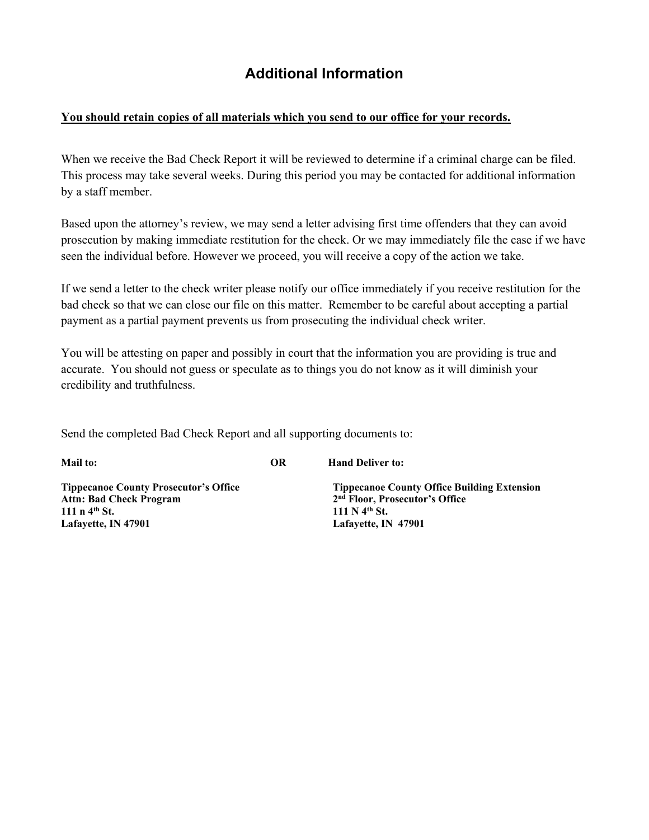# **Additional Information**

#### **You should retain copies of all materials which you send to our office for your records.**

When we receive the Bad Check Report it will be reviewed to determine if a criminal charge can be filed. This process may take several weeks. During this period you may be contacted for additional information by a staff member.

Based upon the attorney's review, we may send a letter advising first time offenders that they can avoid prosecution by making immediate restitution for the check. Or we may immediately file the case if we have seen the individual before. However we proceed, you will receive a copy of the action we take.

If we send a letter to the check writer please notify our office immediately if you receive restitution for the bad check so that we can close our file on this matter. Remember to be careful about accepting a partial payment as a partial payment prevents us from prosecuting the individual check writer.

You will be attesting on paper and possibly in court that the information you are providing is true and accurate. You should not guess or speculate as to things you do not know as it will diminish your credibility and truthfulness.

Send the completed Bad Check Report and all supporting documents to:

**Mail to: OR Hand Deliver to:** 

Attn: Bad Check Program 2<sup>nd</sup> Floor, Prosecutor's Office **111 n** 4<sup>th</sup> St. **111 N** 4<sup>th</sup> St. **Lafayette, IN 47901 Lafayette, IN 47901**

**Tippecanoe County Prosecutor's Office Tippecanoe County Office Building Extension**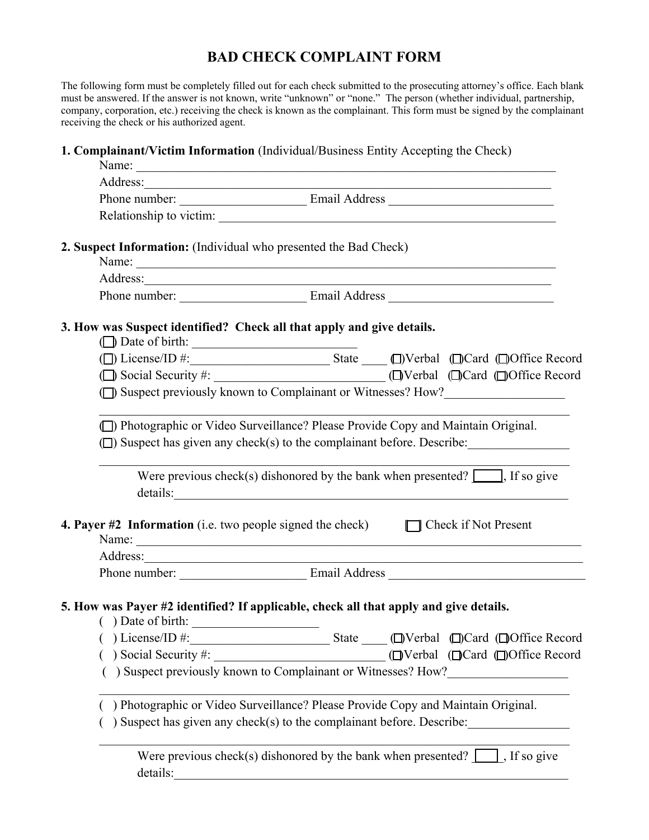## **BAD CHECK COMPLAINT FORM**

The following form must be completely filled out for each check submitted to the prosecuting attorney's office. Each blank must be answered. If the answer is not known, write "unknown" or "none." The person (whether individual, partnership, company, corporation, etc.) receiving the check is known as the complainant. This form must be signed by the complainant receiving the check or his authorized agent.

### **1. Complainant/Victim Information** (Individual/Business Entity Accepting the Check)

|                                                                                 | 2. Suspect Information: (Individual who presented the Bad Check)                                                                                                                                                                                                                                                                                                  |
|---------------------------------------------------------------------------------|-------------------------------------------------------------------------------------------------------------------------------------------------------------------------------------------------------------------------------------------------------------------------------------------------------------------------------------------------------------------|
|                                                                                 |                                                                                                                                                                                                                                                                                                                                                                   |
|                                                                                 |                                                                                                                                                                                                                                                                                                                                                                   |
|                                                                                 | 3. How was Suspect identified? Check all that apply and give details.                                                                                                                                                                                                                                                                                             |
|                                                                                 | ( $\Box$ ) License/ID #: State $\Box$ State State State State $\Box$ Nerbal ( $\Box$ )Card ( $\Box$ )Office Record                                                                                                                                                                                                                                                |
|                                                                                 |                                                                                                                                                                                                                                                                                                                                                                   |
|                                                                                 | (D) Suspect previously known to Complainant or Witnesses? How?                                                                                                                                                                                                                                                                                                    |
|                                                                                 | Were previous check(s) dishonored by the bank when presented? $\Box$ , If so give<br><b>4. Payer #2 Information</b> (i.e. two people signed the check) $\Box$ Check if Not Present<br>Name:                                                                                                                                                                       |
|                                                                                 |                                                                                                                                                                                                                                                                                                                                                                   |
|                                                                                 |                                                                                                                                                                                                                                                                                                                                                                   |
| $( )$ Date of birth: $\qquad \qquad$<br>) License/ID #:<br>) Social Security #: | 5. How was Payer #2 identified? If applicable, check all that apply and give details.<br>State ___ (D)Verbal (D)Card (D)Office Record<br>(□Verbal (□Card □Office Record<br><u> 1989 - Johann John Stein, marwolaeth a bhannaich an t-Amhair an t-Amhair an t-Amhair an t-Amhair an t-Amhair a</u><br>) Suspect previously known to Complainant or Witnesses? How? |
|                                                                                 | ) Photographic or Video Surveillance? Please Provide Copy and Maintain Original.                                                                                                                                                                                                                                                                                  |
|                                                                                 | ) Suspect has given any check(s) to the complainant before. Describe:                                                                                                                                                                                                                                                                                             |
| details:                                                                        | Were previous check(s) dishonored by the bank when presented? $\Box$ , If so give                                                                                                                                                                                                                                                                                 |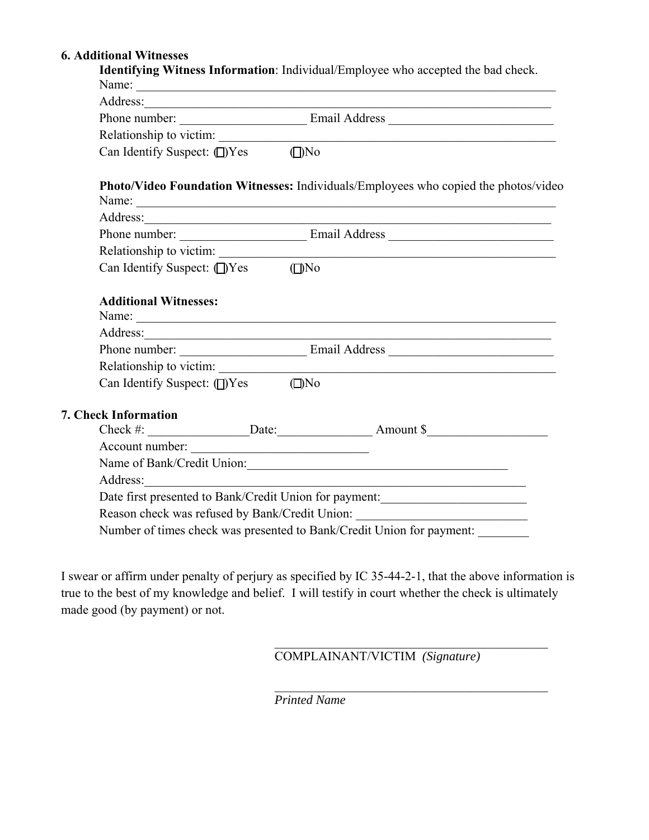### **6. Additional Witnesses**

|                                            | Address: <u>and a series of the series of the series of the series of the series of the series of the series of the series of the series of the series of the series of the series of the series of the series of the series of </u> |
|--------------------------------------------|--------------------------------------------------------------------------------------------------------------------------------------------------------------------------------------------------------------------------------------|
|                                            |                                                                                                                                                                                                                                      |
|                                            |                                                                                                                                                                                                                                      |
| Can Identify Suspect: (D)Yes (D)No         |                                                                                                                                                                                                                                      |
|                                            | Photo/Video Foundation Witnesses: Individuals/Employees who copied the photos/video                                                                                                                                                  |
|                                            | Address:                                                                                                                                                                                                                             |
|                                            | Phone number: Email Address Email Address                                                                                                                                                                                            |
|                                            |                                                                                                                                                                                                                                      |
| Can Identify Suspect: (D)Yes (D)No         |                                                                                                                                                                                                                                      |
|                                            |                                                                                                                                                                                                                                      |
|                                            |                                                                                                                                                                                                                                      |
|                                            |                                                                                                                                                                                                                                      |
| Can Identify Suspect: $\Box$ Yes $\Box$ No |                                                                                                                                                                                                                                      |
| 7. Check Information                       |                                                                                                                                                                                                                                      |
|                                            |                                                                                                                                                                                                                                      |
|                                            |                                                                                                                                                                                                                                      |
|                                            |                                                                                                                                                                                                                                      |
| Account number:                            |                                                                                                                                                                                                                                      |
| Name of Bank/Credit Union:                 |                                                                                                                                                                                                                                      |
|                                            |                                                                                                                                                                                                                                      |
|                                            | Date first presented to Bank/Credit Union for payment:<br>Reason check was refused by Bank/Credit Union: _________________________________                                                                                           |

I swear or affirm under penalty of perjury as specified by IC 35-44-2-1, that the above information is true to the best of my knowledge and belief. I will testify in court whether the check is ultimately made good (by payment) or not.

COMPLAINANT/VICTIM *(Signature)*

*Printed Name*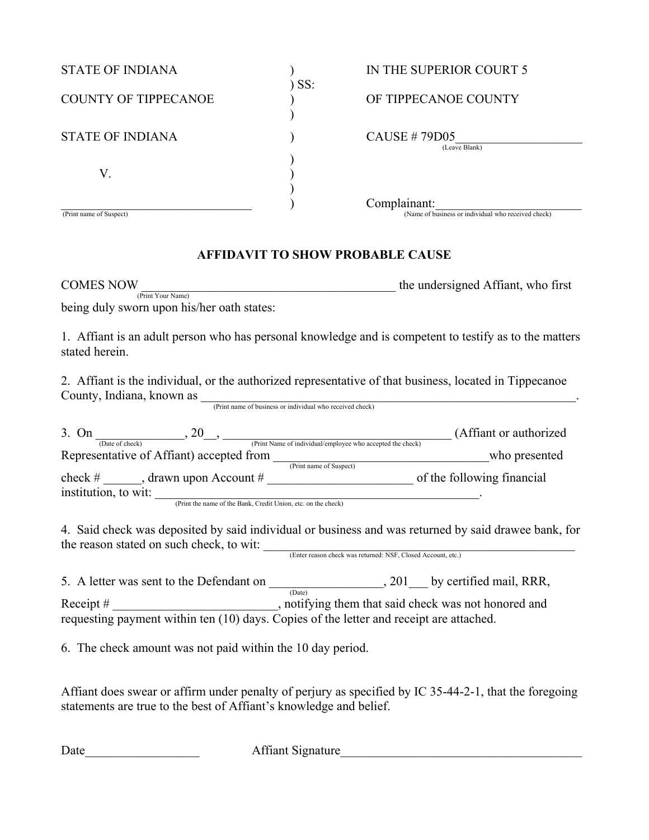| <b>STATE OF INDIANA</b>     | $)$ SS: | IN THE SUPERIOR COURT 5                                             |
|-----------------------------|---------|---------------------------------------------------------------------|
| <b>COUNTY OF TIPPECANOE</b> |         | OF TIPPECANOE COUNTY                                                |
| <b>STATE OF INDIANA</b>     |         | <b>CAUSE #79D05</b><br>(Leave Blank)                                |
| V.                          |         |                                                                     |
| (Print name of Suspect)     |         | Complainant:<br>(Name of business or individual who received check) |

### **AFFIDAVIT TO SHOW PROBABLE CAUSE**

COMES NOW the undersigned Affiant, who first (Print Your Name)

being duly sworn upon his/her oath states:

1. Affiant is an adult person who has personal knowledge and is competent to testify as to the matters stated herein.

2. Affiant is the individual, or the authorized representative of that business, located in Tippecanoe County, Indiana, known as \_\_\_\_\_\_\_\_\_\_\_\_\_\_\_\_\_\_\_\_\_\_\_\_\_\_\_\_\_\_\_\_\_\_\_\_\_\_\_\_\_\_\_\_\_\_\_\_\_\_\_\_\_\_\_\_\_\_\_. (Print name of business or individual who received check)

| 3. On                | 20                                                            | (Affiant or authorized)    |
|----------------------|---------------------------------------------------------------|----------------------------|
| (Date of check)      | (Print Name of individual/employee who accepted the check)    |                            |
|                      | Representative of Affiant) accepted from                      | who presented              |
|                      | (Print name of Suspect)                                       |                            |
| check #              | drawn upon Account $#$                                        | of the following financial |
| institution, to wit: |                                                               |                            |
|                      | (Print the name of the Bank, Credit Union, etc. on the check) |                            |

4. Said check was deposited by said individual or business and was returned by said drawee bank, for 4. Said check was  $x_1 = 1$ <br>the reason stated on such check, to wit: <u>Check was returned: NSF, Closed Account, etc.</u>)

5. A letter was sent to the Defendant on  $\frac{1}{(Date)}$ , 201 by certified mail, RRR, Receipt # \_\_\_\_\_\_\_\_\_\_\_\_\_\_\_\_\_\_\_\_\_\_\_\_\_\_, notifying them that said check was not honored and requesting payment within ten (10) days. Copies of the letter and receipt are attached.

6. The check amount was not paid within the 10 day period.

Affiant does swear or affirm under penalty of perjury as specified by IC 35-44-2-1, that the foregoing statements are true to the best of Affiant's knowledge and belief.

Date **Date Contract Affiant Signature**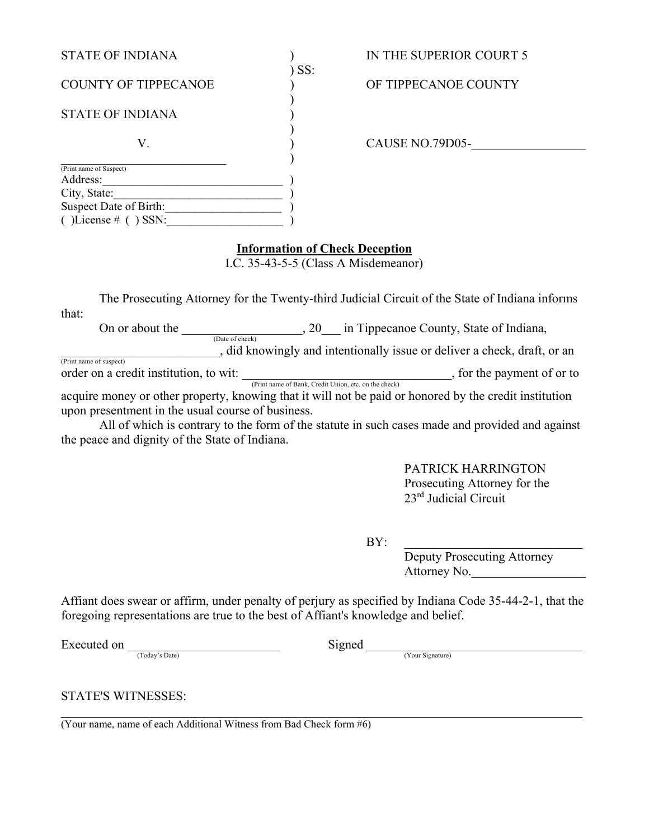| <b>STATE OF INDIANA</b>     |       | IN THE SUPERIOR COURT 5 |
|-----------------------------|-------|-------------------------|
|                             | ) SS: |                         |
| <b>COUNTY OF TIPPECANOE</b> |       | OF TIPPECANOE COUNTY    |
|                             |       |                         |
| <b>STATE OF INDIANA</b>     |       |                         |
|                             |       |                         |
| V.                          |       | CAUSE NO.79D05-         |
|                             |       |                         |
| (Print name of Suspect)     |       |                         |
| Address:                    |       |                         |
| City, State:                |       |                         |
| Suspect Date of Birth:      |       |                         |
| () License $#$ () SSN:      |       |                         |

#### **Information of Check Deception**

I.C. 35-43-5-5 (Class A Misdemeanor)

 The Prosecuting Attorney for the Twenty-third Judicial Circuit of the State of Indiana informs that:

 On or about the \_\_\_\_\_\_\_\_\_\_\_\_\_\_\_\_\_\_\_, 20\_\_\_ in Tippecanoe County, State of Indiana, (Date of check) \_\_\_\_\_\_\_\_\_\_\_\_\_\_\_\_\_\_\_\_\_\_\_\_\_, did knowingly and intentionally issue or deliver a check, draft, or an (Print name of suspect)

order on a credit institution, to wit:  $\frac{1}{(Print name of Bank, Credit Union, etc. on the check)}$ , for the payment of or to

acquire money or other property, knowing that it will not be paid or honored by the credit institution upon presentment in the usual course of business.

 All of which is contrary to the form of the statute in such cases made and provided and against the peace and dignity of the State of Indiana.

> PATRICK HARRINGTON Prosecuting Attorney for the 23rd Judicial Circuit

 $BY:$ 

 Deputy Prosecuting Attorney Attorney No.

Affiant does swear or affirm, under penalty of perjury as specified by Indiana Code 35-44-2-1, that the foregoing representations are true to the best of Affiant's knowledge and belief.

Executed on  $\frac{1}{\text{Totality of } \log^3 \text{Date}}}$  (Your Signature)

STATE'S WITNESSES:

 $\overline{(\text{Your name, name of each Additional Witness from Bad Check form #6})}$